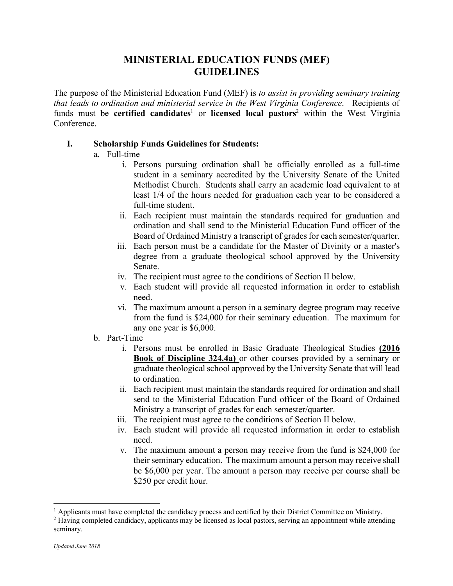## **MINISTERIAL EDUCATION FUNDS (MEF) GUIDELINES**

The purpose of the Ministerial Education Fund (MEF) is *to assist in providing seminary training that leads to ordination and ministerial service in the West Virginia Conference*. Recipients of funds must be **certified candidates**<sup>1</sup> or **licensed local pastors**<sup>2</sup> within the West Virginia **Conference** 

## **I. Scholarship Funds Guidelines for Students:**

## a. Full-time

- i. Persons pursuing ordination shall be officially enrolled as a full-time student in a seminary accredited by the University Senate of the United Methodist Church. Students shall carry an academic load equivalent to at least 1/4 of the hours needed for graduation each year to be considered a full-time student.
- ii. Each recipient must maintain the standards required for graduation and ordination and shall send to the Ministerial Education Fund officer of the Board of Ordained Ministry a transcript of grades for each semester/quarter.
- iii. Each person must be a candidate for the Master of Divinity or a master's degree from a graduate theological school approved by the University Senate.
- iv. The recipient must agree to the conditions of Section II below.
- v. Each student will provide all requested information in order to establish need.
- vi. The maximum amount a person in a seminary degree program may receive from the fund is \$24,000 for their seminary education. The maximum for any one year is \$6,000.
- b. Part-Time
	- i. Persons must be enrolled in Basic Graduate Theological Studies **(2016 Book of Discipline 324.4a)** or other courses provided by a seminary or graduate theological school approved by the University Senate that will lead to ordination.
	- ii. Each recipient must maintain the standards required for ordination and shall send to the Ministerial Education Fund officer of the Board of Ordained Ministry a transcript of grades for each semester/quarter.
	- iii. The recipient must agree to the conditions of Section II below.
	- iv. Each student will provide all requested information in order to establish need.
	- v. The maximum amount a person may receive from the fund is \$24,000 for their seminary education. The maximum amount a person may receive shall be \$6,000 per year. The amount a person may receive per course shall be \$250 per credit hour.

<sup>&</sup>lt;sup>1</sup> Applicants must have completed the candidacy process and certified by their District Committee on Ministry.

<sup>2</sup> Having completed candidacy, applicants may be licensed as local pastors, serving an appointment while attending seminary.